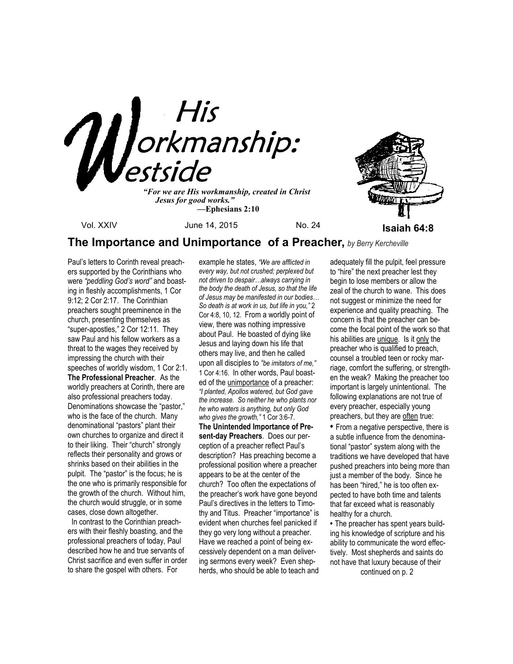

 *—***Ephesians 2:10**



# **The Importance and Unimportance of a Preacher,** *by Berry Kercheville*

Paul's letters to Corinth reveal preachers supported by the Corinthians who were *"peddling God's word"* and boasting in fleshly accomplishments, 1 Cor 9:12; 2 Cor 2:17. The Corinthian preachers sought preeminence in the church, presenting themselves as "super-apostles," 2 Cor 12:11. They saw Paul and his fellow workers as a threat to the wages they received by impressing the church with their speeches of worldly wisdom, 1 Cor 2:1. **The Professional Preacher**. As the worldly preachers at Corinth, there are also professional preachers today. Denominations showcase the "pastor," who is the face of the church. Many denominational "pastors" plant their own churches to organize and direct it to their liking. Their "church" strongly reflects their personality and grows or shrinks based on their abilities in the pulpit. The "pastor" is the focus; he is the one who is primarily responsible for the growth of the church. Without him, the church would struggle, or in some cases, close down altogether.

 In contrast to the Corinthian preachers with their fleshly boasting, and the professional preachers of today, Paul described how he and true servants of Christ sacrifice and even suffer in order to share the gospel with others. For

example he states, *"We are afflicted in every way, but not crushed; perplexed but not driven to despair…always carrying in the body the death of Jesus, so that the life of Jesus may be manifested in our bodies… So death is at work in us, but life in you,"* 2 Cor 4:8, 10, 12. From a worldly point of view, there was nothing impressive about Paul. He boasted of dying like Jesus and laying down his life that others may live, and then he called upon all disciples to *"be imitators of me,"* 1 Cor 4:16. In other words, Paul boasted of the unimportance of a preacher: *"I planted, Apollos watered, but God gave the increase. So neither he who plants nor he who waters is anything, but only God who gives the growth,"* 1 Cor 3:6-7. **The Unintended Importance of Present-day Preachers**. Does our perception of a preacher reflect Paul's description? Has preaching become a professional position where a preacher appears to be at the center of the church? Too often the expectations of the preacher's work have gone beyond Paul's directives in the letters to Timothy and Titus. Preacher "importance" is evident when churches feel panicked if they go very long without a preacher. Have we reached a point of being excessively dependent on a man delivering sermons every week? Even shepherds, who should be able to teach and

adequately fill the pulpit, feel pressure to "hire" the next preacher lest they begin to lose members or allow the zeal of the church to wane. This does not suggest or minimize the need for experience and quality preaching. The concern is that the preacher can become the focal point of the work so that his abilities are unique. Is it only the preacher who is qualified to preach, counsel a troubled teen or rocky marriage, comfort the suffering, or strengthen the weak? Making the preacher too important is largely unintentional. The following explanations are not true of every preacher, especially young preachers, but they are often true:

**•** From a negative perspective, there is a subtle influence from the denominational "pastor" system along with the traditions we have developed that have pushed preachers into being more than just a member of the body. Since he has been "hired," he is too often expected to have both time and talents that far exceed what is reasonably healthy for a church.

**•** The preacher has spent years building his knowledge of scripture and his ability to communicate the word effectively. Most shepherds and saints do not have that luxury because of their

continued on p. 2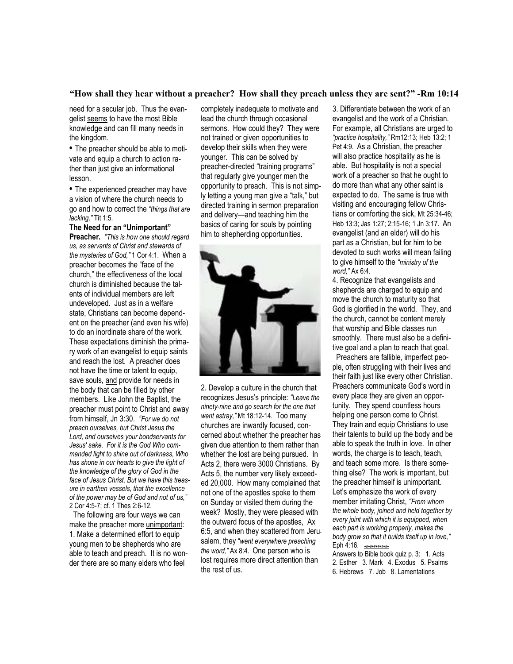## **"How shall they hear without a preacher? How shall they preach unless they are sent?" -Rm 10:14**

need for a secular job. Thus the evangelist seems to have the most Bible knowledge and can fill many needs in the kingdom.

**•** The preacher should be able to motivate and equip a church to action rather than just give an informational lesson.

**•** The experienced preacher may have a vision of where the church needs to go and how to correct the "*things that are lacking,"* Tit 1:5.

## **The Need for an "Unimportant"**

**Preacher.** *"This is how one should regard us, as servants of Christ and stewards of the mysteries of God,"* 1 Cor 4:1.When a preacher becomes the "face of the church," the effectiveness of the local church is diminished because the talents of individual members are left undeveloped. Just as in a welfare state, Christians can become dependent on the preacher (and even his wife) to do an inordinate share of the work. These expectations diminish the primary work of an evangelist to equip saints and reach the lost. A preacher does not have the time or talent to equip, save souls, and provide for needs in the body that can be filled by other members. Like John the Baptist, the preacher must point to Christ and away from himself, Jn 3:30. *"For we do not preach ourselves, but Christ Jesus the Lord, and ourselves your bondservants for Jesus' sake. For it is the God Who commanded light to shine out of darkness, Who has shone in our hearts to give the light of the knowledge of the glory of God in the face of Jesus Christ. But we have this treasure in earthen vessels, that the excellence of the power may be of God and not of us,"*  2 Cor 4:5-7; cf. 1 Thes 2:6-12.

 The following are four ways we can make the preacher more unimportant: 1. Make a determined effort to equip young men to be shepherds who are able to teach and preach. It is no wonder there are so many elders who feel

completely inadequate to motivate and lead the church through occasional sermons. How could they? They were not trained or given opportunities to develop their skills when they were younger. This can be solved by preacher-directed "training programs" that regularly give younger men the opportunity to preach. This is not simply letting a young man give a "talk," but directed training in sermon preparation and delivery—and teaching him the basics of caring for souls by pointing him to shepherding opportunities.



2. Develop a culture in the church that recognizes Jesus's principle: *"Leave the ninety-nine and go search for the one that went astray,"* Mt 18:12-14. Too many churches are inwardly focused, concerned about whether the preacher has given due attention to them rather than whether the lost are being pursued. In Acts 2, there were 3000 Christians. By Acts 5, the number very likely exceeded 20,000. How many complained that not one of the apostles spoke to them on Sunday or visited them during the week? Mostly, they were pleased with the outward focus of the apostles, Ax 6:5, and when they scattered from Jerusalem, they "*went everywhere preaching the word,"* Ax 8:4. One person who is lost requires more direct attention than the rest of us.

3. Differentiate between the work of an evangelist and the work of a Christian. For example, all Christians are urged to *"practice hospitality,"* Rm12:13; Heb 13:2; 1 Pet 4:9. As a Christian, the preacher will also practice hospitality as he is able. But hospitality is not a special work of a preacher so that he ought to do more than what any other saint is expected to do. The same is true with visiting and encouraging fellow Christians or comforting the sick, Mt 25:34-46; Heb 13:3; Jas 1:27; 2:15-16; 1 Jn 3:17. An evangelist (and an elder) will do his part as a Christian, but for him to be devoted to such works will mean failing to give himself to the *"ministry of the word,"* Ax 6:4.

4. Recognize that evangelists and shepherds are charged to equip and move the church to maturity so that God is glorified in the world. They, and the church, cannot be content merely that worship and Bible classes run smoothly. There must also be a definitive goal and a plan to reach that goal.

 Preachers are fallible, imperfect people, often struggling with their lives and their faith just like every other Christian. Preachers communicate God's word in every place they are given an opportunity. They spend countless hours helping one person come to Christ. They train and equip Christians to use their talents to build up the body and be able to speak the truth in love. In other words, the charge is to teach, teach, and teach some more. Is there something else? The work is important, but the preacher himself is unimportant. Let's emphasize the work of every member imitating Christ, *"From whom the whole body, joined and held together by every joint with which it is equipped, when each part is working properly, makes the body grow so that it builds itself up in love,"*  Eph 4:16. *+#+#+#+#+#+#+*

Answers to Bible book quiz p. 3: 1. Acts 2. Esther 3. Mark 4. Exodus 5. Psalms 6. Hebrews 7. Job 8. Lamentations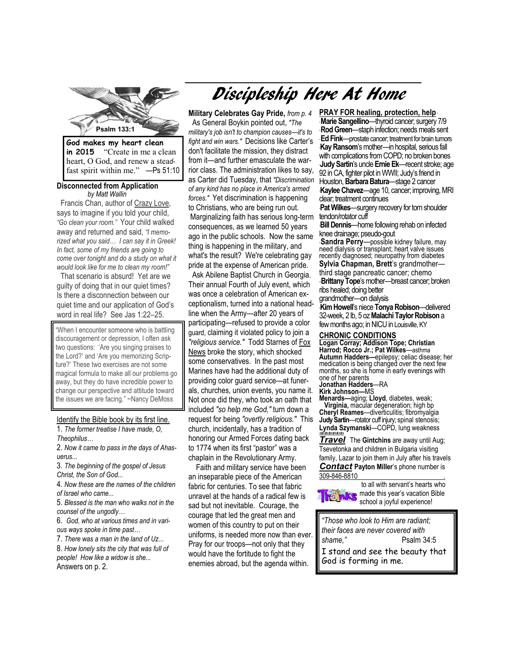

**in 2015** "Create in me a clean heart, O God, and renew a stea*d*fast spirit within me." —Ps 51:10

### **Disconnected from Application**  *by Matt Wallin*

"Go clean your room." Your child walked Francis Chan, author of Crazy Love, says to imagine if you told your child, away and returned and said, *"I memorized what you said… I can say it in Greek! In fact, some of my friends are going to come over tonight and do a study on what it would look like for me to clean my room!"* 

 That scenario is absurd! Yet are we guilty of doing that in our quiet times? Is there a disconnection between our quiet time and our application of God's word in real life? See Jas 1:22–25.

"When I encounter someone who is battling discouragement or depression, I often ask two questions: 'Are you singing praises to the Lord?' and 'Are you memorizing Scripture?' These two exercises are not some magical formula to make all our problems go away, but they do have incredible power to change our perspective and attitude toward the issues we are facing." ~Nancy DeMoss

# Identify the Bible book by its first line.

1. *The former treatise I have made, O, Theophilus…* 

2. *Now it came to pass in the days of Ahasuerus...* 

3. *The beginning of the gospel of Jesus Christ, the Son of God...* 

4. *Now these are the names of the children of Israel who came...* 

5. *Blessed is the man who walks not in the counsel of the ungodly…* 

6. *God, who at various times and in various ways spoke in time past…* 

7. *There was a man in the land of Uz...*  8. *How lonely sits the city that was full of people! How like a widow is she...*  Answers on p. 2.

# Discipleship Here At Home

**Military Celebrates Gay Pride,** *from p. 4*  As General Boykin pointed out, *"The military's job isn't to champion causes—it's to fight and win wars."* Decisions like Carter's don't facilitate the mission, they distract from it—and further emasculate the warrior class. The administration likes to say, as Carter did Tuesday, that *"Discrimination of any kind has no place in America's armed forces."* Yet discrimination is happening to Christians, who are being run out. Marginalizing faith has serious long-term consequences, as we learned 50 years ago in the public schools. Now the same thing is happening in the military, and what's the result? We're celebrating gay pride at the expense of American pride.

 Ask Abilene Baptist Church in Georgia. Their annual Fourth of July event, which was once a celebration of American exceptionalism, turned into a national headline when the Army—after 20 years of participating—refused to provide a color guard, claiming it violated policy to join a *"religious service."* Todd Starnes of Fox News broke the story, which shocked some conservatives. In the past most Marines have had the additional duty of providing color guard service—at funerals, churches, union events, you name it. Not once did they, who took an oath that included *"so help me God,"* turn down a request for being *"overtly religious."* This church, incidentally, has a tradition of honoring our Armed Forces dating back to 1774 when its first "pastor" was a chaplain in the Revolutionary Army.

 Faith and military service have been an inseparable piece of the American fabric for centuries. To see that fabric unravel at the hands of a radical few is sad but not inevitable. Courage, the courage that led the great men and women of this country to put on their uniforms, is needed more now than ever. Pray for our troops—not only that they would have the fortitude to fight the enemies abroad, but the agenda within.

**Psalm 133:1**  Houston, **Barbara Batura**—stage 2 cancer **PRAY FOR healing, protection, help** \* **Marie Sangellino**—thyroid cancer; surgery 7/9 \* **Rod Green**—staph infection; needs meals sent \* **Ed Fink**—prostate cancer; treatment for brain tumors \***Kay Ransom**'s mother—in hospital, serious fall with complications from COPD; no broken bones **Judy Sartin**'s uncle **Ernie Ek**—recent stroke; age 92 in CA, fighter pilot in WWII; Judy's friend in \***Kaylee Chavez**—age 10, cancer; improving, MRI clear; treatment continues

**Pat Wilkes**—surgery recovery for torn shoulder tendon/rotator cuff

\***Bill Dennis**—home following rehab on infected knee drainage; pseudo-gout

**Sandra Perry**—possible kidney failure, may need dialysis or transplant; heart valve issues recently diagnosed; neuropathy from diabetes **Sylvia Chapman, Brett**'s grandmother third stage pancreatic cancer; chemo -**Brittany Tope**'s mother--breast cancer; broken ribs healed; doing better

grandmother—on dialysis

\***Kim Howell**'s niece **Tonya Robison**—delivered 32-week, 2 lb, 5 oz **Malachi Taylor Robison** a few months ago; in NICU in Louisville, KY

#### **CHRONIC CONDITIONS**

**Logan Corray; Addison Tope; Christian Harrod; Rocco Jr.; Pat Wilkes**—asthma **Autumn Hadders—**epilepsy; celiac disease; her medication is being changed over the next few months, so she is home in early evenings with one of her parents

# **Jonathan Hadders**—RA

**Kirk Johnson—**MS

**Menards—**aging; **Lloyd**, diabetes, weak; **Virginia,** macular degeneration; high bp **Cheryl Reames**—diverticulitis; fibromyalgia **Judy Sartin**—rotator cuff injury; spinal stenosis; **Lynda Szymanski**—COPD, lung weakness *+#+#+#+#+#+#+*

**Travel** The Gintchins are away until Aug; Tsevetonka and children in Bulgaria visiting family, Lazar to join them in July after his travels *Contact* **Payton Miller**'s phone number is 309-846-8810 .

> to all with servant's hearts who made this year's vacation Bible school a joyful experience!

*"Those who look to Him are radiant; their faces are never covered with shame,"* Psalm 34:5 I stand and see the beauty that God is forming in me.